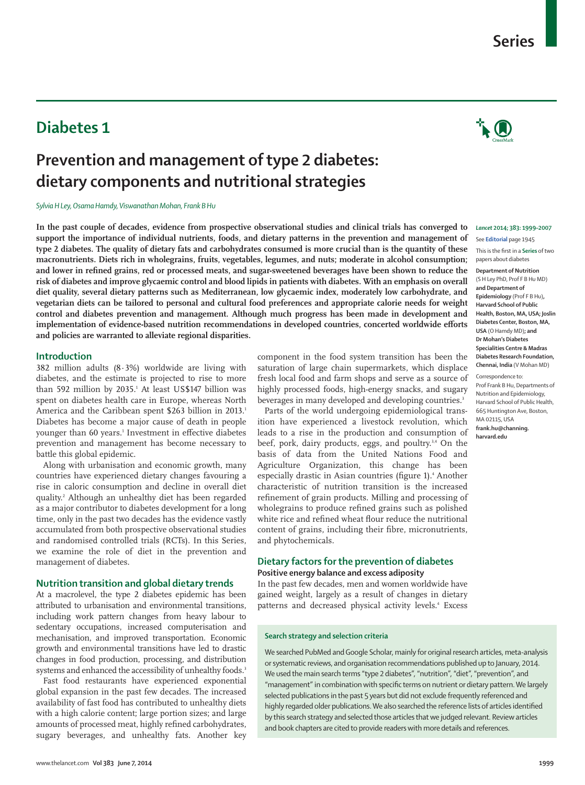# **Prevention and management of type 2 diabetes: dietary components and nutritional strategies**

## Sylvia H Ley, Osama Hamdy, Viswanathan Mohan, Frank B Hu

**In the past couple of decades, evidence from prospective observational studies and clinical trials has converged to support the importance of individual nutrients, foods, and dietary patterns in the prevention and management of type 2 diabetes. The quality of dietary fats and carbohydrates consumed is more crucial than is the quantity of these macronutrients. Diets rich in wholegrains, fruits, vegetables, legumes, and nuts; moderate in alcohol consumption;**  and lower in refined grains, red or processed meats, and sugar-sweetened beverages have been shown to reduce the **risk of diabetes and improve glycaemic control and blood lipids in patients with diabetes. With an emphasis on overall diet quality, several dietary patterns such as Mediterranean, low glycaemic index, moderately low carbohydrate, and vegetarian diets can be tailored to personal and cultural food preferences and appropriate calorie needs for weight control and diabetes prevention and management. Although much progress has been made in development and**  implementation of evidence-based nutrition recommendations in developed countries, concerted worldwide efforts **and policies are warranted to alleviate regional disparities.**

# **Introduction**

**Diabetes 1**

382 million adults (8·3%) worldwide are living with diabetes, and the estimate is projected to rise to more than 592 million by 2035.1 At least US\$147 billion was spent on diabetes health care in Europe, whereas North America and the Caribbean spent \$263 billion in 2013.1 Diabetes has become a major cause of death in people younger than 60 years.<sup>1</sup> Investment in effective diabetes prevention and management has become necessary to battle this global epidemic.

Along with urbanisation and economic growth, many countries have experienced dietary changes favouring a rise in caloric consumption and decline in overall diet quality.2 Although an unhealthy diet has been regarded as a major contributor to diabetes development for a long time, only in the past two decades has the evidence vastly accumulated from both prospective observational studies and randomised controlled trials (RCTs). In this Series, we examine the role of diet in the prevention and management of diabetes.

## **Nutrition transition and global dietary trends**

At a macrolevel, the type 2 diabetes epidemic has been attributed to urbanisation and environmental transitions, including work pattern changes from heavy labour to sedentary occupations, increased computerisation and mechanisation, and improved transportation. Economic growth and environmental transitions have led to drastic changes in food production, processing, and distribution systems and enhanced the accessibility of unhealthy foods.<sup>3</sup>

Fast food restaurants have experienced exponential global expansion in the past few decades. The increased availability of fast food has contributed to unhealthy diets with a high calorie content; large portion sizes; and large amounts of processed meat, highly refined carbohydrates, sugary beverages, and unhealthy fats. Another key component in the food system transition has been the saturation of large chain supermarkets, which displace fresh local food and farm shops and serve as a source of highly processed foods, high-energy snacks, and sugary beverages in many developed and developing countries.<sup>3</sup>

Parts of the world undergoing epidemiological transition have experienced a livestock revolution, which leads to a rise in the production and consumption of beef, pork, dairy products, eggs, and poultry.<sup>3,4</sup> On the basis of data from the United Nations Food and Agriculture Organization, this change has been especially drastic in Asian countries (figure 1).<sup>4</sup> Another characteristic of nutrition transition is the increased refinement of grain products. Milling and processing of wholegrains to produce refined grains such as polished white rice and refined wheat flour reduce the nutritional content of grains, including their fibre, micronutrients, and phytochemicals.

# **Dietary factors for the prevention of diabetes Positive energy balance and excess adiposity**

In the past few decades, men and women worldwide have gained weight, largely as a result of changes in dietary patterns and decreased physical activity levels.4 Excess

# **Search strategy and selection criteria**

We searched PubMed and Google Scholar, mainly for original research articles, meta-analysis or systematic reviews, and organisation recommendations published up to January, 2014. We used the main search terms "type 2 diabetes", "nutrition", "diet", "prevention", and "management" in combination with specific terms on nutrient or dietary pattern. We largely selected publications in the past 5 years but did not exclude frequently referenced and highly regarded older publications. We also searched the reference lists of articles identified by this search strategy and selected those articles that we judged relevant. Review articles and book chapters are cited to provide readers with more details and references.

#### *Lancet* **2014; 383: 1999–2007**

See **Editorial** page 1945 This is the fi rst in a **Series** of two papers about diabetes

**Department of Nutrition**  (S H Ley PhD, Prof F B Hu MD) **and Department of Epidemiology** (Prof F B Hu)**, Harvard School of Public Health, Boston, MA, USA; Joslin Diabetes Center, Boston, MA, USA** (O Hamdy MD)**; and Dr Mohan's Diabetes Specialities Centre & Madras Diabetes Research Foundation, Chennai, India** (V Mohan MD)

Correspondence to: Prof Frank B Hu, Departments of Nutrition and Epidemiology, Harvard School of Public Health, 665 Huntington Ave, Boston, MA 02115, USA **frank.hu@channing. harvard.edu**

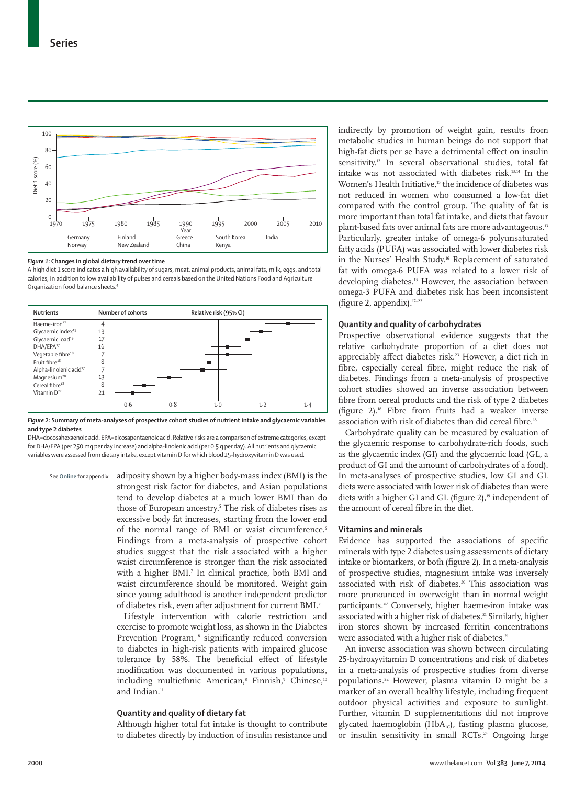

## *Figure 1:* **Changes in global dietary trend over time**

A high diet 1 score indicates a high availability of sugars, meat, animal products, animal fats, milk, eggs, and total calories, in addition to low availability of pulses and cereals based on the United Nations Food and Agriculture Organization food balance sheets.4



*Figure 2:* **Summary of meta-analyses of prospective cohort studies of nutrient intake and glycaemic variables and type 2 diabetes**

DHA=docosahexaenoic acid. EPA=eicosapentaenoic acid. Relative risks are a comparison of extreme categories, except for DHA/EPA (per 250 mg per day increase) and alpha-linolenic acid (per 0·5 g per day). All nutrients and glycaemic variables were assessed from dietary intake, except vitamin D for which blood 25-hydroxyvitamin D was used.

See **Online** for appendix

adiposity shown by a higher body-mass index (BMI) is the strongest risk factor for diabetes, and Asian populations tend to develop diabetes at a much lower BMI than do those of European ancestry.5 The risk of diabetes rises as excessive body fat increases, starting from the lower end of the normal range of BMI or waist circumference.<sup>6</sup> Findings from a meta-analysis of prospective cohort studies suggest that the risk associated with a higher waist circumference is stronger than the risk associated with a higher BMI.7 In clinical practice, both BMI and waist circumference should be monitored. Weight gain since young adulthood is another independent predictor of diabetes risk, even after adjustment for current BMI.<sup>5</sup>

Lifestyle intervention with calorie restriction and exercise to promote weight loss, as shown in the Diabetes Prevention Program,<sup>8</sup> significantly reduced conversion to diabetes in high-risk patients with impaired glucose tolerance by 58%. The beneficial effect of lifestyle modification was documented in various populations, including multiethnic American,<sup>8</sup> Finnish,<sup>9</sup> Chinese,<sup>10</sup> and Indian.11

# **Quantity and quality of dietary fat**

Although higher total fat intake is thought to contribute to diabetes directly by induction of insulin resistance and indirectly by promotion of weight gain, results from metabolic studies in human beings do not support that high-fat diets per se have a detrimental effect on insulin sensitivity.<sup>12</sup> In several observational studies, total fat intake was not associated with diabetes risk.13,14 In the Women's Health Initiative.<sup>15</sup> the incidence of diabetes was not reduced in women who consumed a low-fat diet compared with the control group. The quality of fat is more important than total fat intake, and diets that favour plant-based fats over animal fats are more advantageous.<sup>13</sup> Particularly, greater intake of omega-6 polyunsaturated fatty acids (PUFA) was associated with lower diabetes risk in the Nurses' Health Study.<sup>16</sup> Replacement of saturated fat with omega-6 PUFA was related to a lower risk of developing diabetes.<sup>13</sup> However, the association between omega-3 PUFA and diabetes risk has been inconsistent (figure 2, appendix). $17-22$ 

## **Quantity and quality of carbohydrates**

Prospective observational evidence suggests that the relative carbohydrate proportion of a diet does not appreciably affect diabetes risk.<sup>23</sup> However, a diet rich in fibre, especially cereal fibre, might reduce the risk of diabetes. Findings from a meta-analysis of prospective cohort studies showed an inverse association between fibre from cereal products and the risk of type 2 diabetes (figure  $2$ ).<sup>18</sup> Fibre from fruits had a weaker inverse association with risk of diabetes than did cereal fibre.<sup>18</sup>

Carbohydrate quality can be measured by evaluation of the glycaemic response to carbohydrate-rich foods, such as the glycaemic index (GI) and the glycaemic load (GL, a product of GI and the amount of carbohydrates of a food). In meta-analyses of prospective studies, low GI and GL diets were associated with lower risk of diabetes than were diets with a higher GI and GL (figure 2),<sup>19</sup> independent of the amount of cereal fibre in the diet.

## **Vitamins and minerals**

Evidence has supported the associations of specific minerals with type 2 diabetes using assessments of dietary intake or biomarkers, or both (figure 2). In a meta-analysis of prospective studies, magnesium intake was inversely associated with risk of diabetes.<sup>20</sup> This association was more pronounced in overweight than in normal weight participants.<sup>20</sup> Conversely, higher haeme-iron intake was associated with a higher risk of diabetes.<sup>21</sup> Similarly, higher iron stores shown by increased ferritin concentrations were associated with a higher risk of diabetes.<sup>21</sup>

An inverse association was shown between circulating 25-hydroxyvitamin D concentrations and risk of diabetes in a meta-analysis of prospective studies from diverse populations.22 However, plasma vitamin D might be a marker of an overall healthy lifestyle, including frequent outdoor physical activities and exposure to sunlight. Further, vitamin D supplementations did not improve glycated haemoglobin  $(HbA_{1c})$ , fasting plasma glucose, or insulin sensitivity in small RCTs.<sup>24</sup> Ongoing large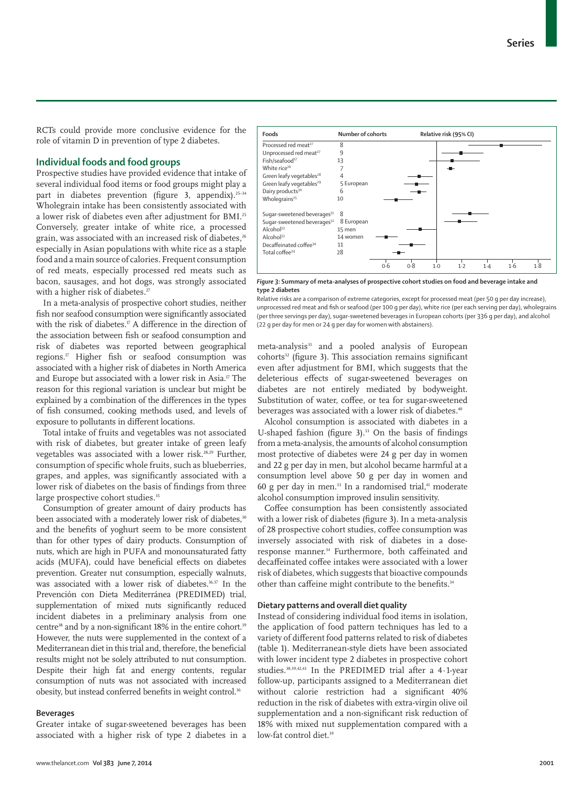RCTs could provide more conclusive evidence for the role of vitamin D in prevention of type 2 diabetes.

# **Individual foods and food groups**

Prospective studies have provided evidence that intake of several individual food items or food groups might play a part in diabetes prevention (figure 3, appendix).<sup>25-34</sup> Wholegrain intake has been consistently associated with a lower risk of diabetes even after adjustment for BMI.25 Conversely, greater intake of white rice, a processed grain, was associated with an increased risk of diabetes,<sup>26</sup> especially in Asian populations with white rice as a staple food and a main source of calories. Frequent consumption of red meats, especially processed red meats such as bacon, sausages, and hot dogs, was strongly associated with a higher risk of diabetes.<sup>27</sup>

In a meta-analysis of prospective cohort studies, neither fish nor seafood consumption were significantly associated with the risk of diabetes.<sup>17</sup> A difference in the direction of the association between fish or seafood consumption and risk of diabetes was reported between geographical regions.<sup>17</sup> Higher fish or seafood consumption was associated with a higher risk of diabetes in North America and Europe but associated with a lower risk in Asia.<sup>17</sup> The reason for this regional variation is unclear but might be explained by a combination of the differences in the types of fish consumed, cooking methods used, and levels of exposure to pollutants in different locations.

Total intake of fruits and vegetables was not associated with risk of diabetes, but greater intake of green leafy vegetables was associated with a lower risk.28,29 Further, consumption of specific whole fruits, such as blueberries, grapes, and apples, was significantly associated with a lower risk of diabetes on the basis of findings from three large prospective cohort studies.<sup>35</sup>

Consumption of greater amount of dairy products has been associated with a moderately lower risk of diabetes,<sup>30</sup> and the benefits of yoghurt seem to be more consistent than for other types of dairy products. Consumption of nuts, which are high in PUFA and monounsaturated fatty acids (MUFA), could have beneficial effects on diabetes prevention. Greater nut consumption, especially walnuts, was associated with a lower risk of diabetes.<sup>36,37</sup> In the Prevención con Dieta Mediterránea (PREDIMED) trial, supplementation of mixed nuts significantly reduced incident diabetes in a preliminary analysis from one centre<sup>38</sup> and by a non-significant 18% in the entire cohort.<sup>39</sup> However, the nuts were supplemented in the context of a Mediterranean diet in this trial and, therefore, the beneficial results might not be solely attributed to nut consumption. Despite their high fat and energy contents, regular consumption of nuts was not associated with increased obesity, but instead conferred benefits in weight control.<sup>36</sup>

## **Beverages**

Greater intake of sugar-sweetened beverages has been associated with a higher risk of type 2 diabetes in a



*Figure 3:* **Summary of meta-analyses of prospective cohort studies on food and beverage intake and type 2 diabetes**

Relative risks are a comparison of extreme categories, except for processed meat (per 50 g per day increase), unprocessed red meat and fish or seafood (per 100 g per day), white rice (per each serving per day), wholegrains (per three servings per day), sugar-sweetened beverages in European cohorts (per 336 g per day), and alcohol (22 g per day for men or 24 g per day for women with abstainers).

meta-analysis<sup>31</sup> and a pooled analysis of European cohorts<sup>32</sup> (figure 3). This association remains significant even after adjustment for BMI, which suggests that the deleterious effects of sugar-sweetened beverages on diabetes are not entirely mediated by bodyweight. Substitution of water, coffee, or tea for sugar-sweetened beverages was associated with a lower risk of diabetes.<sup>40</sup>

Alcohol consumption is associated with diabetes in a U-shaped fashion (figure  $3$ ).<sup>33</sup> On the basis of findings from a meta-analysis, the amounts of alcohol consumption most protective of diabetes were 24 g per day in women and 22 g per day in men, but alcohol became harmful at a consumption level above 50 g per day in women and 60 g per day in men.<sup>33</sup> In a randomised trial, $41$  moderate alcohol consumption improved insulin sensitivity.

Coffee consumption has been consistently associated with a lower risk of diabetes (figure 3). In a meta-analysis of 28 prospective cohort studies, coffee consumption was inversely associated with risk of diabetes in a doseresponse manner.<sup>34</sup> Furthermore, both caffeinated and decaffeinated coffee intakes were associated with a lower risk of diabetes, which suggests that bioactive compounds other than caffeine might contribute to the benefits.<sup>34</sup>

## **Dietary patterns and overall diet quality**

Instead of considering individual food items in isolation, the application of food pattern techniques has led to a variety of different food patterns related to risk of diabetes (table 1). Mediterranean-style diets have been associated with lower incident type 2 diabetes in prospective cohort studies.38,39,42,43 In the PREDIMED trial after a 4·1-year follow-up, participants assigned to a Mediterranean diet without calorie restriction had a significant 40% reduction in the risk of diabetes with extra-virgin olive oil supplementation and a non-significant risk reduction of 18% with mixed nut supplementation compared with a low-fat control diet.<sup>39</sup>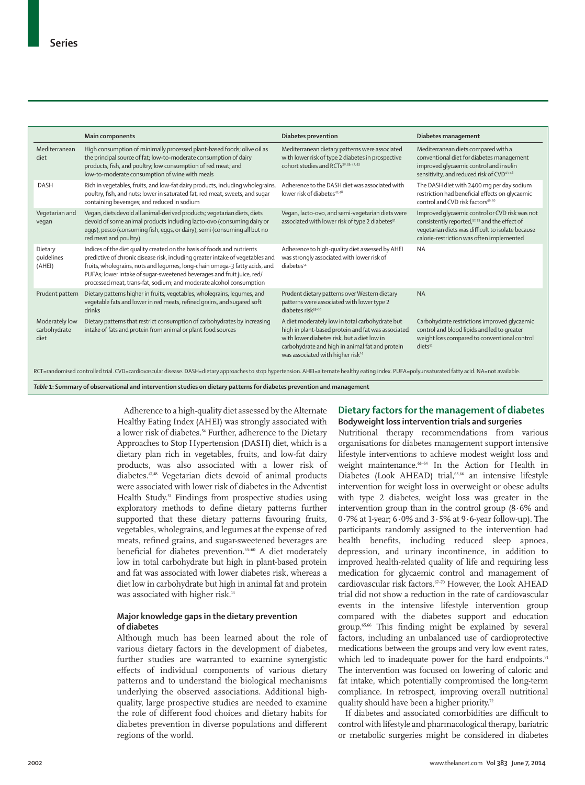|                                        | Main components                                                                                                                                                                                                                                                                                                                                                                          | Diabetes prevention                                                                                                                                                                                                                                      | Diabetes management                                                                                                                                                                                           |
|----------------------------------------|------------------------------------------------------------------------------------------------------------------------------------------------------------------------------------------------------------------------------------------------------------------------------------------------------------------------------------------------------------------------------------------|----------------------------------------------------------------------------------------------------------------------------------------------------------------------------------------------------------------------------------------------------------|---------------------------------------------------------------------------------------------------------------------------------------------------------------------------------------------------------------|
| Mediterranean<br>diet                  | High consumption of minimally processed plant-based foods; olive oil as<br>the principal source of fat; low-to-moderate consumption of dairy<br>products, fish, and poultry; low consumption of red meat; and<br>low-to-moderate consumption of wine with meals                                                                                                                          | Mediterranean dietary patterns were associated<br>with lower risk of type 2 diabetes in prospective<br>cohort studies and RCTs <sup>38, 39, 42, 43</sup>                                                                                                 | Mediterranean diets compared with a<br>conventional diet for diabetes management<br>improved glycaemic control and insulin<br>sensitivity, and reduced risk of CVD <sup>43-46</sup>                           |
| DASH                                   | Rich in vegetables, fruits, and low-fat dairy products, including wholegrains,<br>poultry, fish, and nuts; lower in saturated fat, red meat, sweets, and sugar<br>containing beverages; and reduced in sodium                                                                                                                                                                            | Adherence to the DASH diet was associated with<br>lower risk of diabetes <sup>47, 48</sup>                                                                                                                                                               | The DASH diet with 2400 mg per day sodium<br>restriction had beneficial effects on glycaemic<br>control and CVD risk factors <sup>49,50</sup>                                                                 |
| Vegetarian and<br>vegan                | Vegan, diets devoid all animal-derived products; vegetarian diets, diets<br>devoid of some animal products including lacto-ovo (consuming dairy or<br>eggs), pesco (consuming fish, eggs, or dairy), semi (consuming all but no<br>red meat and poultry)                                                                                                                                 | Vegan, lacto-ovo, and semi-vegetarian diets were<br>associated with lower risk of type 2 diabetes <sup>51</sup>                                                                                                                                          | Improved glycaemic control or CVD risk was not<br>consistently reported, <sup>52,53</sup> and the effect of<br>vegetarian diets was difficult to isolate because<br>calorie-restriction was often implemented |
| Dietary<br>quidelines<br>(AHEI)        | Indices of the diet quality created on the basis of foods and nutrients<br>predictive of chronic disease risk, including greater intake of vegetables and<br>fruits, wholegrains, nuts and legumes, long-chain omega-3 fatty acids, and<br>PUFAs; lower intake of sugar-sweetened beverages and fruit juice, red/<br>processed meat, trans-fat, sodium; and moderate alcohol consumption | Adherence to high-quality diet assessed by AHEI<br>was strongly associated with lower risk of<br>diabetes <sup>54</sup>                                                                                                                                  | <b>NA</b>                                                                                                                                                                                                     |
| Prudent pattern                        | Dietary patterns higher in fruits, vegetables, wholegrains, legumes, and<br>vegetable fats and lower in red meats, refined grains, and sugared soft<br>drinks                                                                                                                                                                                                                            | Prudent dietary patterns over Western dietary<br>patterns were associated with lower type 2<br>diabetes risk <sup>55-60</sup>                                                                                                                            | <b>NA</b>                                                                                                                                                                                                     |
| Moderately low<br>carbohydrate<br>diet | Dietary patterns that restrict consumption of carbohydrates by increasing<br>intake of fats and protein from animal or plant food sources                                                                                                                                                                                                                                                | A diet moderately low in total carbohydrate but<br>high in plant-based protein and fat was associated<br>with lower diabetes risk, but a diet low in<br>carbohydrate and high in animal fat and protein<br>was associated with higher risk <sup>14</sup> | Carbohydrate restrictions improved glycaemic<br>control and blood lipids and led to greater<br>weight loss compared to conventional control<br>diets <sup>52</sup>                                            |
|                                        | RCT=randomised controlled trial. CVD=cardiovascular disease. DASH=dietary approaches to stop hypertension. AHEI=alternate healthy eating index. PUFA=polyunsaturated fatty acid. NA=not available.                                                                                                                                                                                       |                                                                                                                                                                                                                                                          |                                                                                                                                                                                                               |

*Table* **1: Summary of observational and intervention studies on dietary patterns for diabetes prevention and management**

Adherence to a high-quality diet assessed by the Alternate Healthy Eating Index (AHEI) was strongly associated with a lower risk of diabetes.<sup>54</sup> Further, adherence to the Dietary Approaches to Stop Hypertension (DASH) diet, which is a dietary plan rich in vegetables, fruits, and low-fat dairy products, was also associated with a lower risk of diabetes.47,48 Vegetarian diets devoid of animal products were associated with lower risk of diabetes in the Adventist Health Study.<sup>51</sup> Findings from prospective studies using exploratory methods to define dietary patterns further supported that these dietary patterns favouring fruits, vegetables, wholegrains, and legumes at the expense of red meats, refined grains, and sugar-sweetened beverages are beneficial for diabetes prevention.<sup>55-60</sup> A diet moderately low in total carbohydrate but high in plant-based protein and fat was associated with lower diabetes risk, whereas a diet low in carbohydrate but high in animal fat and protein was associated with higher risk.<sup>14</sup>

# **Major knowledge gaps in the dietary prevention of diabetes**

Although much has been learned about the role of various dietary factors in the development of diabetes, further studies are warranted to examine synergistic effects of individual components of various dietary patterns and to understand the biological mechanisms underlying the observed associations. Additional highquality, large prospective studies are needed to examine the role of different food choices and dietary habits for diabetes prevention in diverse populations and different regions of the world.

# **Dietary factors for the management of diabetes Bodyweight loss intervention trials and surgeries**

Nutritional therapy recommendations from various organisations for diabetes management support intensive lifestyle interventions to achieve modest weight loss and weight maintenance.<sup>61–64</sup> In the Action for Health in Diabetes (Look AHEAD) trial,<sup>65,66</sup> an intensive lifestyle intervention for weight loss in overweight or obese adults with type 2 diabetes, weight loss was greater in the intervention group than in the control group (8·6% and 0·7% at 1-year; 6·0% and 3·5% at 9·6-year follow-up). The participants randomly assigned to the intervention had health benefits, including reduced sleep apnoea, depression, and urinary incontinence, in addition to improved health-related quality of life and requiring less medication for glycaemic control and management of cardiovascular risk factors.<sup>67–70</sup> However, the Look AHEAD trial did not show a reduction in the rate of cardiovascular events in the intensive lifestyle intervention group compared with the diabetes support and education group.<sup>65,66</sup> This finding might be explained by several factors, including an unbalanced use of cardioprotective medications between the groups and very low event rates, which led to inadequate power for the hard endpoints.<sup>71</sup> The intervention was focused on lowering of caloric and fat intake, which potentially compromised the long-term compliance. In retrospect, improving overall nutritional quality should have been a higher priority.<sup>72</sup>

If diabetes and associated comorbidities are difficult to control with lifestyle and pharmacological therapy, bariatric or metabolic surgeries might be considered in diabetes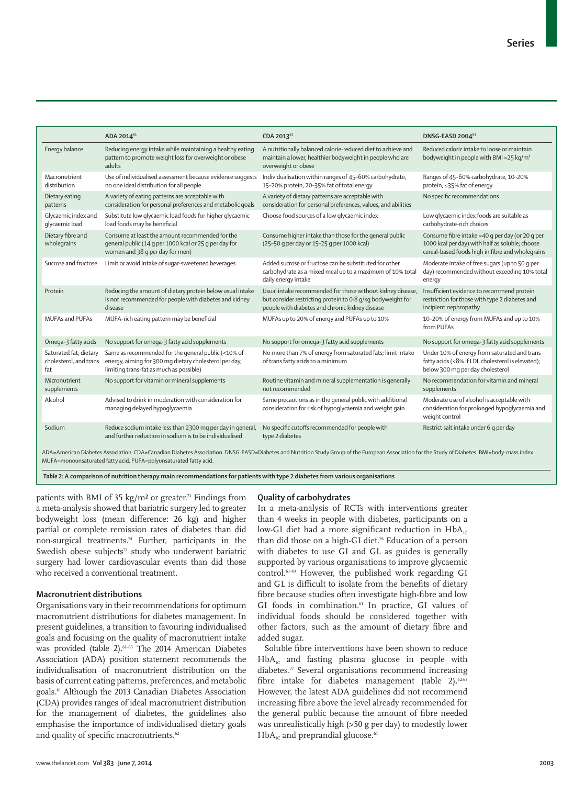|                                                         | ADA 201461                                                                                                                                               | CDA 201362                                                                                                                                                                   | DNSG-EASD 200463                                                                                                                                       |
|---------------------------------------------------------|----------------------------------------------------------------------------------------------------------------------------------------------------------|------------------------------------------------------------------------------------------------------------------------------------------------------------------------------|--------------------------------------------------------------------------------------------------------------------------------------------------------|
| Energy balance                                          | Reducing energy intake while maintaining a healthy eating<br>pattern to promote weight loss for overweight or obese<br>adults                            | A nutritionally balanced calorie-reduced diet to achieve and<br>maintain a lower, healthier bodyweight in people who are<br>overweight or obese                              | Reduced caloric intake to loose or maintain<br>bodyweight in people with BMI >25 kg/m <sup>2</sup>                                                     |
| Macronutrient<br>distribution                           | Use of individualised assessment because evidence suggests<br>no one ideal distribution for all people                                                   | Individualisation within ranges of 45-60% carbohydrate,<br>15-20% protein, 20-35% fat of total energy                                                                        | Ranges of 45-60% carbohydrate, 10-20%<br>protein, ≤35% fat of energy                                                                                   |
| Dietary eating<br>patterns                              | A variety of eating patterns are acceptable with<br>consideration for personal preferences and metabolic goals                                           | A variety of dietary patterns are acceptable with<br>consideration for personal preferences, values, and abilities                                                           | No specific recommendations                                                                                                                            |
| Glycaemic index and<br>glycaemic load                   | Substitute low glycaemic load foods for higher glycaemic<br>load foods may be beneficial                                                                 | Choose food sources of a low glycaemic index                                                                                                                                 | Low glycaemic index foods are suitable as<br>carbohydrate-rich choices                                                                                 |
| Dietary fibre and<br>wholegrains                        | Consume at least the amount recommended for the<br>general public (14 g per 1000 kcal or 25 g per day for<br>women and 38 q per day for men)             | Consume higher intake than those for the general public<br>(25-50 q per day or 15-25 q per 1000 kcal)                                                                        | Consume fibre intake >40 g per day (or 20 g per<br>1000 kcal per day) with half as soluble; choose<br>cereal-based foods high in fibre and wholegrains |
| Sucrose and fructose                                    | Limit or avoid intake of sugar-sweetened beverages                                                                                                       | Added sucrose or fructose can be substituted for other<br>carbohydrate as a mixed meal up to a maximum of 10% total<br>daily energy intake                                   | Moderate intake of free sugars (up to 50 g per<br>day) recommended without exceeding 10% total<br>energy                                               |
| Protein                                                 | Reducing the amount of dietary protein below usual intake<br>is not recommended for people with diabetes and kidney<br>disease                           | Usual intake recommended for those without kidney disease,<br>but consider restricting protein to 0.8 g/kg bodyweight for<br>people with diabetes and chronic kidney disease | Insufficient evidence to recommend protein<br>restriction for those with type 2 diabetes and<br>incipient nephropathy                                  |
| <b>MUFAs and PUFAs</b>                                  | MUFA-rich eating pattern may be beneficial                                                                                                               | MUFAs up to 20% of energy and PUFAs up to 10%                                                                                                                                | 10-20% of energy from MUFAs and up to 10%<br>from PUFAs                                                                                                |
| Omega-3 fatty acids                                     | No support for omega-3 fatty acid supplements                                                                                                            | No support for omega-3 fatty acid supplements                                                                                                                                | No support for omega-3 fatty acid supplements                                                                                                          |
| Saturated fat, dietary<br>cholesterol, and trans<br>fat | Same as recommended for the general public (<10% of<br>energy, aiming for 300 mg dietary cholesterol per day,<br>limiting trans-fat as much as possible) | No more than 7% of energy from saturated fats; limit intake<br>of trans fatty acids to a minimum                                                                             | Under 10% of energy from saturated and trans<br>fatty acids (<8% if LDL cholesterol is elevated);<br>below 300 mg per day cholesterol                  |
| Micronutrient<br>supplements                            | No support for vitamin or mineral supplements                                                                                                            | Routine vitamin and mineral supplementation is generally<br>not recommended                                                                                                  | No recommendation for vitamin and mineral<br>supplements                                                                                               |
| Alcohol                                                 | Advised to drink in moderation with consideration for<br>managing delayed hypoglycaemia                                                                  | Same precautions as in the general public with additional<br>consideration for risk of hypoglycaemia and weight gain                                                         | Moderate use of alcohol is acceptable with<br>consideration for prolonged hypoglycaemia and<br>weight control                                          |
| Sodium                                                  | Reduce sodium intake less than 2300 mg per day in general,<br>and further reduction in sodium is to be individualised                                    | No specific cutoffs recommended for people with<br>type 2 diabetes                                                                                                           | Restrict salt intake under 6 g per day                                                                                                                 |

*Table* **2: A comparison of nutrition therapy main recommendations for patients with type 2 diabetes from various organisations**

patients with BMI of 35 kg/m<sup>2</sup> or greater.<sup>73</sup> Findings from a meta-analysis showed that bariatric surgery led to greater bodyweight loss (mean difference: 26 kg) and higher partial or complete remission rates of diabetes than did non-surgical treatments.74 Further, participants in the Swedish obese subjects<sup>75</sup> study who underwent bariatric surgery had lower cardiovascular events than did those who received a conventional treatment.

## **Macronutrient distributions**

Organisations vary in their recommendations for optimum macronutrient distributions for diabetes management. In present guidelines, a transition to favouring individualised goals and focusing on the quality of macronutrient intake was provided (table 2).<sup>61-63</sup> The 2014 American Diabetes Association (ADA) position statement recommends the individualisation of macronutrient distribution on the basis of current eating patterns, preferences, and metabolic goals.61 Although the 2013 Canadian Diabetes Association (CDA) provides ranges of ideal macronutrient distribution for the management of diabetes, the guidelines also emphasise the importance of individualised dietary goals and quality of specific macronutrients.<sup>62</sup>

# **Quality of carbohydrates**

In a meta-analysis of RCTs with interventions greater than 4 weeks in people with diabetes, participants on a low-GI diet had a more significant reduction in  $HbA_{1C}$ than did those on a high-GI diet.<sup>76</sup> Education of a person with diabetes to use GI and GL as guides is generally supported by various organisations to improve glycaemic control.61–64 However, the published work regarding GI and GL is difficult to isolate from the benefits of dietary fibre because studies often investigate high-fibre and low GI foods in combination.<sup>61</sup> In practice, GI values of individual foods should be considered together with other factors, such as the amount of dietary fibre and added sugar.

Soluble fibre interventions have been shown to reduce  $HbA<sub>1c</sub>$  and fasting plasma glucose in people with diabetes. $\pi$  Several organisations recommend increasing fibre intake for diabetes management (table 2). $62,63$ However, the latest ADA guidelines did not recommend increasing fibre above the level already recommended for the general public because the amount of fibre needed was unrealistically high (>50 g per day) to modestly lower  $HbA<sub>1c</sub>$  and preprandial glucose.<sup>61</sup>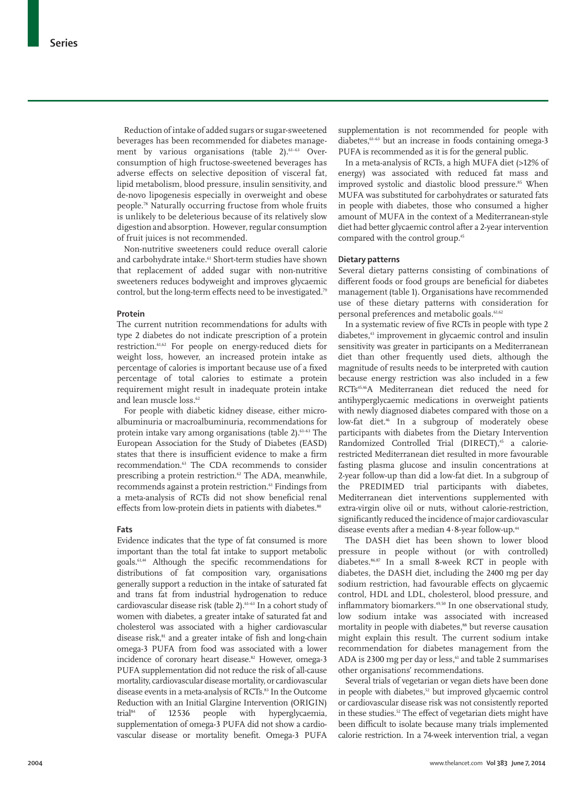Reduction of intake of added sugars or sugar-sweetened beverages has been recommended for diabetes management by various organisations (table  $2$ ).<sup>61–63</sup> Overconsumption of high fructose-sweetened beverages has adverse effects on selective deposition of visceral fat, lipid metabolism, blood pressure, insulin sensitivity, and de-novo lipogenesis especially in overweight and obese people.78 Naturally occurring fructose from whole fruits is unlikely to be deleterious because of its relatively slow digestion and absorption. However, regular consumption of fruit juices is not recommended.

Non-nutritive sweeteners could reduce overall calorie and carbohydrate intake.<sup>61</sup> Short-term studies have shown that replacement of added sugar with non-nutritive sweeteners reduces bodyweight and improves glycaemic control, but the long-term effects need to be investigated.79

## **Protein**

The current nutrition recommendations for adults with type 2 diabetes do not indicate prescription of a protein restriction.61,62 For people on energy-reduced diets for weight loss, however, an increased protein intake as percentage of calories is important because use of a fixed percentage of total calories to estimate a protein requirement might result in inadequate protein intake and lean muscle loss.<sup>62</sup>

For people with diabetic kidney disease, either microalbuminuria or macroalbuminuria, recommendations for protein intake vary among organisations (table 2).<sup>61-63</sup> The European Association for the Study of Diabetes (EASD) states that there is insufficient evidence to make a firm recommendation.<sup>63</sup> The CDA recommends to consider prescribing a protein restriction.<sup>62</sup> The ADA, meanwhile, recommends against a protein restriction.<sup>61</sup> Findings from a meta-analysis of RCTs did not show beneficial renal effects from low-protein diets in patients with diabetes.<sup>80</sup>

# **Fats**

Evidence indicates that the type of fat consumed is more important than the total fat intake to support metabolic goals.<sup>61,44</sup> Although the specific recommendations for distributions of fat composition vary, organisations generally support a reduction in the intake of saturated fat and trans fat from industrial hydrogenation to reduce cardiovascular disease risk (table 2).<sup>61-63</sup> In a cohort study of women with diabetes, a greater intake of saturated fat and cholesterol was associated with a higher cardiovascular disease risk,<sup>81</sup> and a greater intake of fish and long-chain omega-3 PUFA from food was associated with a lower incidence of coronary heart disease.<sup>82</sup> However, omega-3 PUFA supplementation did not reduce the risk of all-cause mortality, cardiovascular disease mortality, or cardiovascular disease events in a meta-analysis of RCTs.<sup>83</sup> In the Outcome Reduction with an Initial Glargine Intervention (ORIGIN) trial<sup>84</sup> of 12536 people with hyperglycaemia, supplementation of omega-3 PUFA did not show a cardiovascular disease or mortality benefit. Omega-3 PUFA supplementation is not recommended for people with diabetes, <sup>61-63</sup> but an increase in foods containing omega-3 PUFA is recommended as it is for the general public.

In a meta-analysis of RCTs, a high MUFA diet (>12% of energy) was associated with reduced fat mass and improved systolic and diastolic blood pressure.<sup>85</sup> When MUFA was substituted for carbohydrates or saturated fats in people with diabetes, those who consumed a higher amount of MUFA in the context of a Mediterranean-style diet had better glycaemic control after a 2-year intervention compared with the control group.<sup>45</sup>

#### **Dietary patterns**

Several dietary patterns consisting of combinations of different foods or food groups are beneficial for diabetes management (table 1). Organisations have recommended use of these dietary patterns with consideration for personal preferences and metabolic goals.<sup>61,62</sup>

In a systematic review of five RCTs in people with type 2 diabetes,<sup>43</sup> improvement in glycaemic control and insulin sensitivity was greater in participants on a Mediterranean diet than other frequently used diets, although the magnitude of results needs to be interpreted with caution because energy restriction was also included in a few RCTs45,46A Mediterranean diet reduced the need for antihyperglycaemic medications in overweight patients with newly diagnosed diabetes compared with those on a low-fat diet.<sup>46</sup> In a subgroup of moderately obese participants with diabetes from the Dietary Intervention Randomized Controlled Trial (DIRECT),<sup>45</sup> a calorierestricted Mediterranean diet resulted in more favourable fasting plasma glucose and insulin concentrations at 2-year follow-up than did a low-fat diet. In a subgroup of the PREDIMED trial participants with diabetes, Mediterranean diet interventions supplemented with extra-virgin olive oil or nuts, without calorie-restriction, significantly reduced the incidence of major cardiovascular disease events after a median 4.8-year follow-up.<sup>44</sup>

The DASH diet has been shown to lower blood pressure in people without (or with controlled) diabetes.86,87 In a small 8-week RCT in people with diabetes, the DASH diet, including the 2400 mg per day sodium restriction, had favourable effects on glycaemic control, HDL and LDL, cholesterol, blood pressure, and inflammatory biomarkers.<sup>49,50</sup> In one observational study, low sodium intake was associated with increased mortality in people with diabetes,<sup>88</sup> but reverse causation might explain this result. The current sodium intake recommendation for diabetes management from the ADA is 2300 mg per day or less, $61$  and table 2 summarises other organisations' recommendations.

Several trials of vegetarian or vegan diets have been done in people with diabetes,<sup>52</sup> but improved glycaemic control or cardiovascular disease risk was not consistently reported in these studies.<sup>52</sup> The effect of vegetarian diets might have been difficult to isolate because many trials implemented calorie restriction. In a 74-week intervention trial, a vegan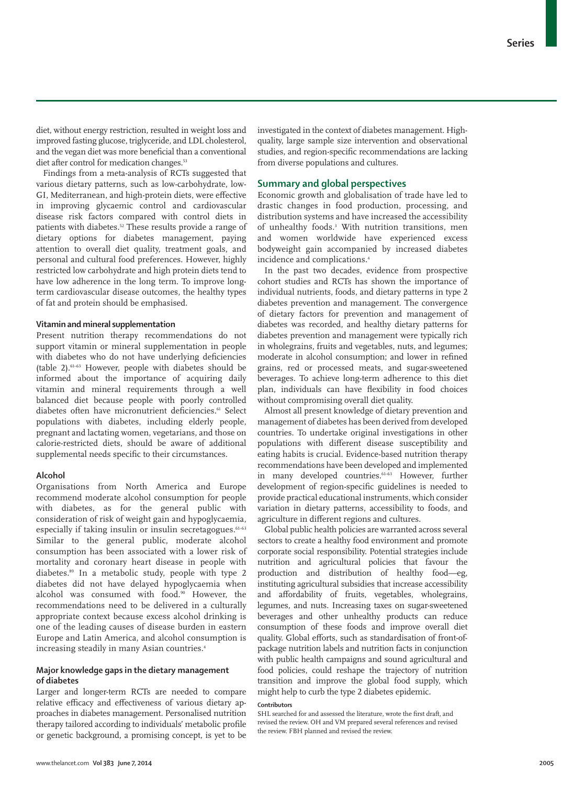diet, without energy restriction, resulted in weight loss and improved fasting glucose, triglyceride, and LDL cholesterol, and the vegan diet was more beneficial than a conventional diet after control for medication changes.<sup>53</sup>

Findings from a meta-analysis of RCTs suggested that various dietary patterns, such as low-carbohydrate, low-GI, Mediterranean, and high-protein diets, were effective in improving glycaemic control and cardiovascular disease risk factors compared with control diets in patients with diabetes.<sup>52</sup> These results provide a range of dietary options for diabetes management, paying attention to overall diet quality, treatment goals, and personal and cultural food preferences. However, highly restricted low carbohydrate and high protein diets tend to have low adherence in the long term. To improve longterm cardiovascular disease outcomes, the healthy types of fat and protein should be emphasised.

# **Vitamin and mineral supplementation**

Present nutrition therapy recommendations do not support vitamin or mineral supplementation in people with diabetes who do not have underlying deficiencies (table 2).61–63 However, people with diabetes should be informed about the importance of acquiring daily vitamin and mineral requirements through a well balanced diet because people with poorly controlled diabetes often have micronutrient deficiencies.<sup>61</sup> Select populations with diabetes, including elderly people, pregnant and lactating women, vegetarians, and those on calorie-restricted diets, should be aware of additional supplemental needs specific to their circumstances.

## **Alcohol**

Organisations from North America and Europe recommend moderate alcohol consumption for people with diabetes, as for the general public with consideration of risk of weight gain and hypoglycaemia, especially if taking insulin or insulin secretagogues. $61-63$ Similar to the general public, moderate alcohol consumption has been associated with a lower risk of mortality and coronary heart disease in people with diabetes.89 In a metabolic study, people with type 2 diabetes did not have delayed hypoglycaemia when alcohol was consumed with food.<sup>90</sup> However, the recommendations need to be delivered in a culturally appropriate context because excess alcohol drinking is one of the leading causes of disease burden in eastern Europe and Latin America, and alcohol consumption is increasing steadily in many Asian countries.<sup>4</sup>

# **Major knowledge gaps in the dietary management of diabetes**

Larger and longer-term RCTs are needed to compare relative efficacy and effectiveness of various dietary approaches in diabetes management. Personalised nutrition therapy tailored according to individuals' metabolic profile or genetic background, a promising concept, is yet to be investigated in the context of diabetes management. Highquality, large sample size intervention and observational studies, and region-specific recommendations are lacking from diverse populations and cultures.

# **Summary and global perspectives**

Economic growth and globalisation of trade have led to drastic changes in food production, processing, and distribution systems and have increased the accessibility of unhealthy foods.3 With nutrition transitions, men and women worldwide have experienced excess bodyweight gain accompanied by increased diabetes incidence and complications.4

In the past two decades, evidence from prospective cohort studies and RCTs has shown the importance of individual nutrients, foods, and dietary patterns in type 2 diabetes prevention and management. The convergence of dietary factors for prevention and management of diabetes was recorded, and healthy dietary patterns for diabetes prevention and management were typically rich in wholegrains, fruits and vegetables, nuts, and legumes; moderate in alcohol consumption; and lower in refined grains, red or processed meats, and sugar-sweetened beverages. To achieve long-term adherence to this diet plan, individuals can have flexibility in food choices without compromising overall diet quality.

Almost all present knowledge of dietary prevention and management of diabetes has been derived from developed countries. To undertake original investigations in other populations with different disease susceptibility and eating habits is crucial. Evidence-based nutrition therapy recommendations have been developed and implemented in many developed countries.<sup>61–63</sup> However, further development of region-specific guidelines is needed to provide practical educational instruments, which consider variation in dietary patterns, accessibility to foods, and agriculture in different regions and cultures.

Global public health policies are warranted across several sectors to create a healthy food environment and promote corporate social responsibility. Potential strategies include nutrition and agricultural policies that favour the production and distribution of healthy food—eg, instituting agricultural subsidies that increase accessibility and affordability of fruits, vegetables, wholegrains, legumes, and nuts. Increasing taxes on sugar-sweetened beverages and other unhealthy products can reduce consumption of these foods and improve overall diet quality. Global efforts, such as standardisation of front-ofpackage nutrition labels and nutrition facts in conjunction with public health campaigns and sound agricultural and food policies, could reshape the trajectory of nutrition transition and improve the global food supply, which might help to curb the type 2 diabetes epidemic.

#### **Contributors**

SHL searched for and assessed the literature, wrote the first draft, and revised the review. OH and VM prepared several references and revised the review. FBH planned and revised the review.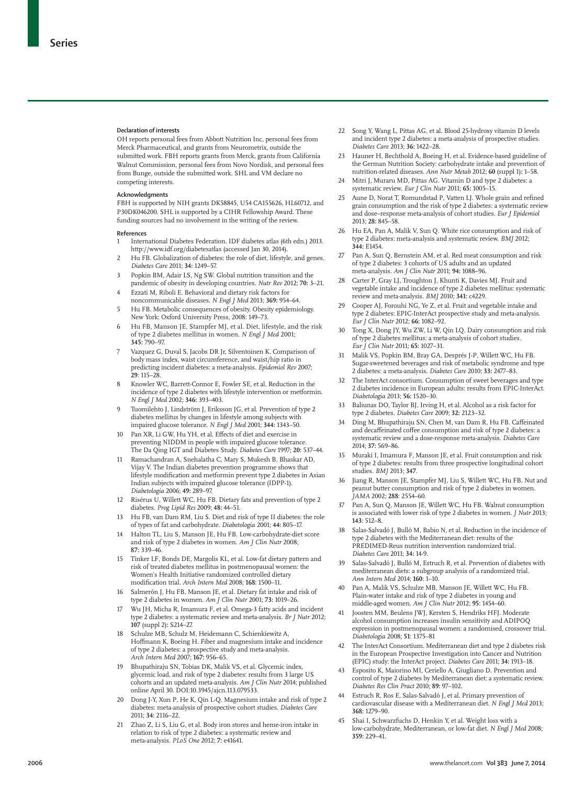#### **Declaration of interests**

OH reports personal fees from Abbott Nutrition Inc, personal fees from Merck Pharmaceutical, and grants from Neurometrix, outside the submitted work. FBH reports grants from Merck, grants from California Walnut Commission, personal fees from Novo Nordisk, and personal fees from Bunge, outside the submitted work. SHL and VM declare no competing interests.

#### **Acknowledgments**

FBH is supported by NIH grants DK58845, U54 CA155626, HL60712, and P30DK046200. SHL is supported by a CIHR Fellowship Award. These funding sources had no involvement in the writing of the review.

#### **References**

- 1 International Diabetes Federation. IDF diabetes atlas (6th edn.) 2013. http://www.idf.org/diabetesatlas (accessed Jan 30, 2014).
- Hu FB. Globalization of diabetes: the role of diet, lifestyle, and genes. *Diabetes Care* 2011; **34:** 1249–57.
- 3 Popkin BM, Adair LS, Ng SW. Global nutrition transition and the pandemic of obesity in developing countries. *Nutr Rev* 2012; **70:** 3–21.
- 4 Ezzati M, Riboli E. Behavioral and dietary risk factors for noncommunicable diseases. *N Engl J Med* 2013; **369:** 954–64.
- 5 Hu FB. Metabolic consequences of obesity. Obesity epidemiology. New York: Oxford University Press, 2008: 149–73.
- 6 Hu FB, Manson JE, Stampfer MJ, et al. Diet, lifestyle, and the risk of type 2 diabetes mellitus in women. *N Engl J Med* 2001; **345:** 790–97.
- 7 Vazquez G, Duval S, Jacobs DR Jr, Silventoinen K. Comparison of body mass index, waist circumference, and waist/hip ratio in predicting incident diabetes: a meta-analysis. *Epidemiol Rev* 2007; **29**: 115–28.
- 8 Knowler WC, Barrett-Connor E, Fowler SE, et al. Reduction in the incidence of type 2 diabetes with lifestyle intervention or metformin. *N Engl J Med* 2002; **346:** 393–403.
- 9 Tuomilehto J, Lindström J, Eriksson JG, et al. Prevention of type 2 diabetes mellitus by changes in lifestyle among subjects with impaired glucose tolerance. *N Engl J Med* 2001; **344:** 1343–50.
- 10 Pan XR, Li GW, Hu YH, et al. Effects of diet and exercise in preventing NIDDM in people with impaired glucose tolerance. The Da Qing IGT and Diabetes Study. *Diabetes Care* 1997; **20:** 537–44.
- 11 Ramachandran A, Snehalatha C, Mary S, Mukesh B, Bhaskar AD, Vijay V. The Indian diabetes prevention programme shows that lifestyle modification and metformin prevent type 2 diabetes in Asian Indian subjects with impaired glucose tolerance (IDPP-1). *Diabetologia* 2006; **49:** 289–97.
- 12 Risérus U, Willett WC, Hu FB. Dietary fats and prevention of type 2 diabetes. *Prog Lipid Res* 2009; **48:** 44–51.
- 13 Hu FB, van Dam RM, Liu S. Diet and risk of type II diabetes: the role of types of fat and carbohydrate. *Diabetologia* 2001; **44:** 805–17.
- 14 Halton TL, Liu S, Manson JE, Hu FB. Low-carbohydrate-diet score and risk of type 2 diabetes in women. *Am J Clin Nutr* 2008; **87:** 339–46.
- 15 Tinker LF, Bonds DE, Margolis KL, et al. Low-fat dietary pattern and risk of treated diabetes mellitus in postmenopausal women: the Women's Health Initiative randomized controlled dietary modifi cation trial. *Arch Intern Med* 2008; **168:** 1500–11.
- 16 Salmerón J, Hu FB, Manson JE, et al. Dietary fat intake and risk of type 2 diabetes in women. *Am J Clin Nutr* 2001; **73:** 1019–26.
- 17 Wu JH, Micha R, Imamura F, et al. Omega-3 fatty acids and incident type 2 diabetes: a systematic review and meta-analysis. *Br J Nutr* 2012; **107** (suppl 2)**:** S214–27.
- 18 Schulze MB, Schulz M, Heidemann C, Schienkiewitz A, Hoffmann K, Boeing H. Fiber and magnesium intake and incidence of type 2 diabetes: a prospective study and meta-analysis. *Arch Intern Med* 2007; **167:** 956–65.
- 19 Bhupathiraju SN, Tobias DK, Malik VS, et al. Glycemic index, glycemic load, and risk of type 2 diabetes: results from 3 large US cohorts and an updated meta-analysis. *Am J Clin Nutr* 2014; published online April 30. DOI:10.3945/ajcn.113.079533.
- 20 Dong J-Y, Xun P, He K, Qin L-Q. Magnesium intake and risk of type 2 diabetes: meta-analysis of prospective cohort studies. *Diabetes Care* 2011; **34:** 2116–22.
- Zhao Z, Li S, Liu G, et al. Body iron stores and heme-iron intake in relation to risk of type 2 diabetes: a systematic review and meta-analysis. *PLoS One* 2012; **7:** e41641.
- 22 Song Y, Wang L, Pittas AG, et al. Blood 25-hydroxy vitamin D levels and incident type 2 diabetes: a meta-analysis of prospective studies. *Diabetes Care* 2013; **36:** 1422–28.
- 23 Hauner H, Bechthold A, Boeing H, et al. Evidence-based guideline of the German Nutrition Society: carbohydrate intake and prevention of nutrition-related diseases. *Ann Nutr Metab* 2012; **60** (suppl 1)**:** 1–58.
- 24 Mitri J, Muraru MD, Pittas AG. Vitamin D and type 2 diabetes: a systematic review. *Eur J Clin Nutr* 2011; **65:** 1005–15.
- Aune D, Norat T, Romundstad P, Vatten LJ. Whole grain and refined grain consumption and the risk of type 2 diabetes: a systematic review and dose–response meta-analysis of cohort studies. *Eur J Epidemiol* 2013; **28:** 845–58.
- 26 Hu EA, Pan A, Malik V, Sun Q. White rice consumption and risk of type 2 diabetes: meta-analysis and systematic review. *BMJ* 2012; **344:** E1454.
- 27 Pan A, Sun Q, Bernstein AM, et al. Red meat consumption and risk of type 2 diabetes: 3 cohorts of US adults and an updated meta-analysis. *Am J Clin Nutr* 2011; **94:** 1088–96.
- 28 Carter P, Gray LJ, Troughton J, Khunti K, Davies MJ. Fruit and vegetable intake and incidence of type 2 diabetes mellitus: systematic review and meta-analysis. *BMJ* 2010; **341:** c4229.
- 29 Cooper AJ, Forouhi NG, Ye Z, et al. Fruit and vegetable intake and type 2 diabetes: EPIC-InterAct prospective study and meta-analysis. *Eur J Clin Nutr* 2012; **66:** 1082–92.
- 30 Tong X, Dong JY, Wu ZW, Li W, Qin LQ. Dairy consumption and risk of type 2 diabetes mellitus: a meta-analysis of cohort studies. *Eur J Clin Nutr* 2011; **65:** 1027–31.
- 31 Malik VS, Popkin BM, Bray GA, Després J-P, Willett WC, Hu FB. Sugar-sweetened beverages and risk of metabolic syndrome and type 2 diabetes: a meta-analysis. *Diabetes Care* 2010; **33:** 2477–83.
- The InterAct consortium. Consumption of sweet beverages and type 2 diabetes incidence in European adults: results from EPIC-InterAct. *Diabetologia* 2013; **56:** 1520–30.
- Baliunas DO, Taylor BJ, Irving H, et al. Alcohol as a risk factor for type 2 diabetes. *Diabetes Care* 2009; **32:** 2123–32.
- Ding M, Bhupathiraju SN, Chen M, van Dam R, Hu FB. Caffeinated and decaffeinated coffee consumption and risk of type 2 diabetes: a systematic review and a dose-response meta-analysis. *Diabetes Care* 2014; **37:** 569–86.
- 35 Muraki I, Imamura F, Manson JE, et al. Fruit consumption and risk of type 2 diabetes: results from three prospective longitudinal cohort studies. *BMJ* 2013; **347**.
- 36 Jiang R, Manson JE, Stampfer MJ, Liu S, Willett WC, Hu FB. Nut and peanut butter consumption and risk of type 2 diabetes in women. *JAMA* 2002; **288**: 2554–60.
- 37 Pan A, Sun Q, Manson JE, Willett WC, Hu FB. Walnut consumption is associated with lower risk of type 2 diabetes in women. *J Nutr* 2013; **143**: 512–8.
- 38 Salas-Salvadó J, Bulló M, Babio N, et al. Reduction in the incidence of type 2 diabetes with the Mediterranean diet: results of the PREDIMED-Reus nutrition intervention randomized trial. *Diabetes Care* 2011; **34:** 14-9.
- 39 Salas-Salvadó J, Bulló M, Estruch R, et al. Prevention of diabetes with mediterranean diets: a subgroup analysis of a randomized trial. *Ann Intern Med* 2014; **160**: 1–10.
- Pan A, Malik VS, Schulze MB, Manson JE, Willett WC, Hu FB. Plain-water intake and risk of type 2 diabetes in young and middle-aged women. *Am J Clin Nutr* 2012; **95**: 1454–60.
- 41 Joosten MM, Beulens JWJ, Kersten S, Hendriks HFJ. Moderate alcohol consumption increases insulin sensitivity and ADIPOQ expression in postmenopausal women: a randomised, crossover trial. *Diabetologia* 2008; **51**: 1375–81
- 42 The InterAct Consortium. Mediterranean diet and type 2 diabetes risk in the European Prospective Investigation into Cancer and Nutrition (EPIC) study: the InterAct project. *Diabetes Care* 2011; **34:** 1913–18.
- 43 Esposito K, Maiorino MI, Ceriello A, Giugliano D. Prevention and control of type 2 diabetes by Mediterranean diet: a systematic review. *Diabetes Res Clin Pract* 2010; **89:** 97–102.
- 44 Estruch R, Ros E, Salas-Salvadó J, et al. Primary prevention of cardiovascular disease with a Mediterranean diet. *N Engl J Med* 2013; **368:** 1279–90.
- 45 Shai I, Schwarzfuchs D, Henkin Y, et al. Weight loss with a low-carbohydrate, Mediterranean, or low-fat diet. *N Engl J Med* 2008; **359:** 229–41.